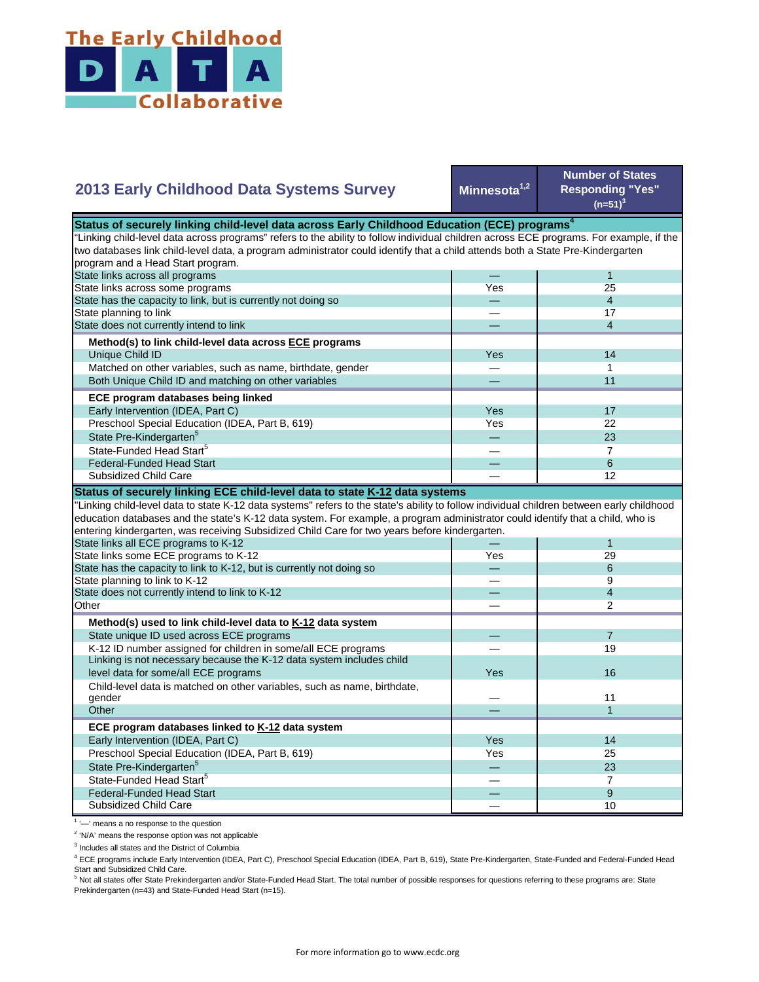

## **2013 Early Childhood Data Systems Survey**

**Minnesota1,2**

**Number of States Responding "Yes"**   $(n=51)^3$ 

| Status of securely linking child-level data across Early Childhood Education (ECE) programs <sup>4</sup>                                  |     |                          |  |
|-------------------------------------------------------------------------------------------------------------------------------------------|-----|--------------------------|--|
| "Linking child-level data across programs" refers to the ability to follow individual children across ECE programs. For example, if the   |     |                          |  |
| two databases link child-level data, a program administrator could identify that a child attends both a State Pre-Kindergarten            |     |                          |  |
| program and a Head Start program.                                                                                                         |     |                          |  |
| State links across all programs                                                                                                           |     | $\mathbf{1}$             |  |
| State links across some programs                                                                                                          | Yes | 25                       |  |
| State has the capacity to link, but is currently not doing so                                                                             |     | $\overline{4}$           |  |
| State planning to link                                                                                                                    |     | 17                       |  |
| State does not currently intend to link                                                                                                   |     | $\overline{4}$           |  |
| Method(s) to link child-level data across ECE programs                                                                                    |     |                          |  |
| Unique Child ID                                                                                                                           | Yes | 14                       |  |
| Matched on other variables, such as name, birthdate, gender                                                                               |     | 1                        |  |
| Both Unique Child ID and matching on other variables                                                                                      |     | 11                       |  |
| ECE program databases being linked                                                                                                        |     |                          |  |
| Early Intervention (IDEA, Part C)                                                                                                         | Yes | 17                       |  |
| Preschool Special Education (IDEA, Part B, 619)                                                                                           | Yes | 22                       |  |
| State Pre-Kindergarten <sup>5</sup>                                                                                                       |     | 23                       |  |
| State-Funded Head Start <sup>5</sup>                                                                                                      |     | $\overline{7}$           |  |
| <b>Federal-Funded Head Start</b>                                                                                                          |     | 6                        |  |
| Subsidized Child Care                                                                                                                     |     | 12                       |  |
| Status of securely linking ECE child-level data to state K-12 data systems                                                                |     |                          |  |
| 'Linking child-level data to state K-12 data systems" refers to the state's ability to follow individual children between early childhood |     |                          |  |
| education databases and the state's K-12 data system. For example, a program administrator could identify that a child, who is            |     |                          |  |
| entering kindergarten, was receiving Subsidized Child Care for two years before kindergarten.                                             |     |                          |  |
| State links all ECE programs to K-12                                                                                                      |     | $\mathbf{1}$             |  |
| State links some ECE programs to K-12                                                                                                     | Yes | 29                       |  |
| State has the capacity to link to K-12, but is currently not doing so                                                                     |     | 6                        |  |
| State planning to link to K-12                                                                                                            |     | 9                        |  |
| State does not currently intend to link to K-12                                                                                           |     | $\overline{\mathcal{L}}$ |  |
| Other                                                                                                                                     |     | $\mathfrak{p}$           |  |
| Method(s) used to link child-level data to K-12 data system                                                                               |     |                          |  |
| State unique ID used across ECE programs                                                                                                  |     | $\overline{7}$           |  |
| K-12 ID number assigned for children in some/all ECE programs                                                                             |     | 19                       |  |
| Linking is not necessary because the K-12 data system includes child                                                                      |     |                          |  |
| level data for some/all ECE programs                                                                                                      | Yes | 16                       |  |
| Child-level data is matched on other variables, such as name, birthdate,                                                                  |     |                          |  |
| gender                                                                                                                                    |     | 11                       |  |
| Other                                                                                                                                     |     | $\mathbf{1}$             |  |
| ECE program databases linked to K-12 data system                                                                                          |     |                          |  |
| Early Intervention (IDEA, Part C)                                                                                                         | Yes | 14                       |  |
| Preschool Special Education (IDEA, Part B, 619)                                                                                           | Yes | 25                       |  |
|                                                                                                                                           |     |                          |  |
|                                                                                                                                           |     | 23                       |  |
| State Pre-Kindergarten <sup>5</sup><br>State-Funded Head Start <sup>5</sup>                                                               |     | $\overline{7}$           |  |
| <b>Federal-Funded Head Start</b>                                                                                                          |     | 9                        |  |

<sup>1</sup> '-' means a no response to the question

<sup>2</sup> 'N/A' means the response option was not applicable

<sup>3</sup> Includes all states and the District of Columbia

<sup>4</sup> ECE programs include Early Intervention (IDEA, Part C), Preschool Special Education (IDEA, Part B, 619), State Pre-Kindergarten, State-Funded and Federal-Funded Head

Start and Subsidized Child Care.<br><sup>5</sup> Not all states offer State Prekindergarten and/or State-Funded Head Start. The total number of possible responses for questions referring to these programs are: State Prekindergarten (n=43) and State-Funded Head Start (n=15).